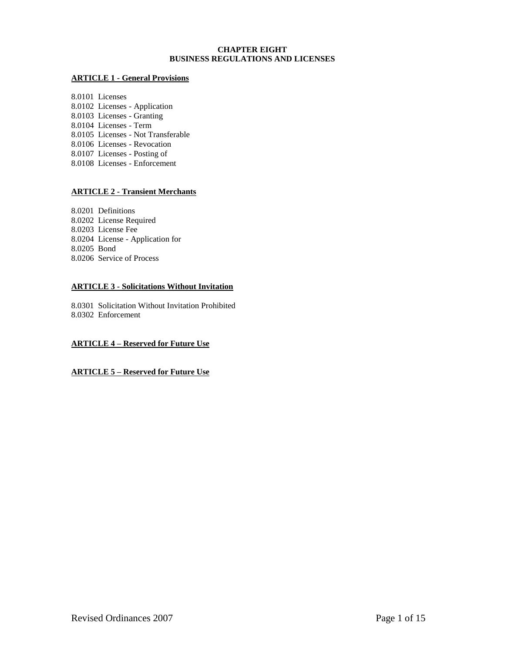## **CHAPTER EIGHT BUSINESS REGULATIONS AND LICENSES**

## **ARTICLE 1 - General Provisions**

8.0101 Licenses 8.0102 Licenses - Application 8.0103 Licenses - Granting 8.0104 Licenses - Term 8.0105 Licenses - Not Transferable 8.0106 Licenses - Revocation 8.0107 Licenses - Posting of 8.0108 Licenses - Enforcement

# **ARTICLE 2 - Transient Merchants**

8.0201 Definitions 8.0202 License Required 8.0203 License Fee 8.0204 License - Application for 8.0205 Bond 8.0206 Service of Process

## **ARTICLE 3 - Solicitations Without Invitation**

8.0301 Solicitation Without Invitation Prohibited 8.0302 Enforcement

## **ARTICLE 4 – Reserved for Future Use**

# **ARTICLE 5 – Reserved for Future Use**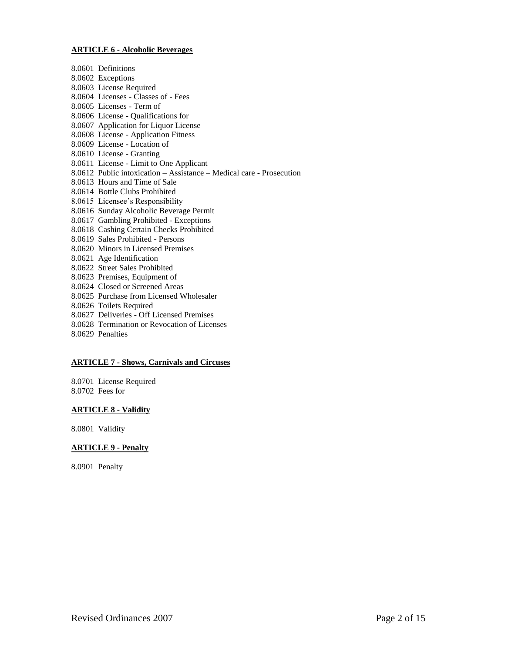### **ARTICLE 6 - Alcoholic Beverages**

8.0601 Definitions 8.0602 Exceptions 8.0603 License Required 8.0604 Licenses - Classes of - Fees 8.0605 Licenses - Term of 8.0606 License - Qualifications for 8.0607 Application for Liquor License 8.0608 License - Application Fitness 8.0609 License - Location of 8.0610 License - Granting 8.0611 License - Limit to One Applicant 8.0612 Public intoxication – Assistance – Medical care - Prosecution 8.0613 Hours and Time of Sale 8.0614 Bottle Clubs Prohibited 8.0615 Licensee's Responsibility 8.0616 Sunday Alcoholic Beverage Permit 8.0617 Gambling Prohibited - Exceptions 8.0618 Cashing Certain Checks Prohibited 8.0619 Sales Prohibited - Persons 8.0620 Minors in Licensed Premises 8.0621 Age Identification 8.0622 Street Sales Prohibited 8.0623 Premises, Equipment of 8.0624 Closed or Screened Areas 8.0625 Purchase from Licensed Wholesaler 8.0626 Toilets Required 8.0627 Deliveries - Off Licensed Premises 8.0628 Termination or Revocation of Licenses 8.0629 Penalties

## **ARTICLE 7 - Shows, Carnivals and Circuses**

8.0701 License Required 8.0702 Fees for

### **ARTICLE 8 - Validity**

8.0801 Validity

## **ARTICLE 9 - Penalty**

8.0901 Penalty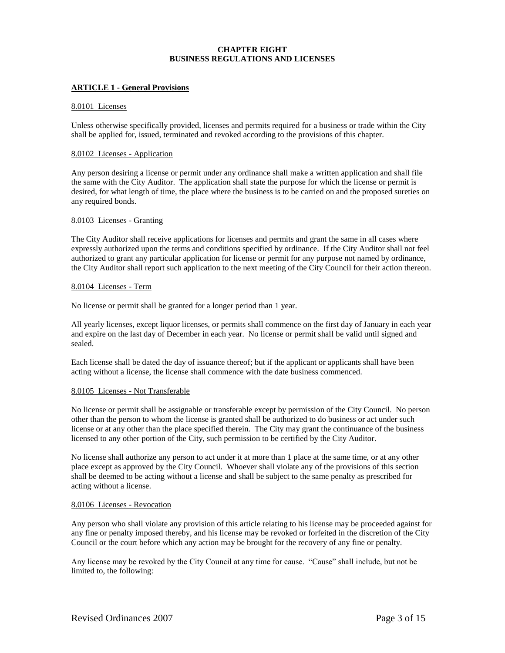# **CHAPTER EIGHT BUSINESS REGULATIONS AND LICENSES**

## **ARTICLE 1 - General Provisions**

#### 8.0101 Licenses

Unless otherwise specifically provided, licenses and permits required for a business or trade within the City shall be applied for, issued, terminated and revoked according to the provisions of this chapter.

### 8.0102 Licenses - Application

Any person desiring a license or permit under any ordinance shall make a written application and shall file the same with the City Auditor. The application shall state the purpose for which the license or permit is desired, for what length of time, the place where the business is to be carried on and the proposed sureties on any required bonds.

#### 8.0103 Licenses - Granting

The City Auditor shall receive applications for licenses and permits and grant the same in all cases where expressly authorized upon the terms and conditions specified by ordinance. If the City Auditor shall not feel authorized to grant any particular application for license or permit for any purpose not named by ordinance, the City Auditor shall report such application to the next meeting of the City Council for their action thereon.

#### 8.0104 Licenses - Term

No license or permit shall be granted for a longer period than 1 year.

All yearly licenses, except liquor licenses, or permits shall commence on the first day of January in each year and expire on the last day of December in each year. No license or permit shall be valid until signed and sealed.

Each license shall be dated the day of issuance thereof; but if the applicant or applicants shall have been acting without a license, the license shall commence with the date business commenced.

### 8.0105 Licenses - Not Transferable

No license or permit shall be assignable or transferable except by permission of the City Council. No person other than the person to whom the license is granted shall be authorized to do business or act under such license or at any other than the place specified therein. The City may grant the continuance of the business licensed to any other portion of the City, such permission to be certified by the City Auditor.

No license shall authorize any person to act under it at more than 1 place at the same time, or at any other place except as approved by the City Council. Whoever shall violate any of the provisions of this section shall be deemed to be acting without a license and shall be subject to the same penalty as prescribed for acting without a license.

### 8.0106 Licenses - Revocation

Any person who shall violate any provision of this article relating to his license may be proceeded against for any fine or penalty imposed thereby, and his license may be revoked or forfeited in the discretion of the City Council or the court before which any action may be brought for the recovery of any fine or penalty.

Any license may be revoked by the City Council at any time for cause. "Cause" shall include, but not be limited to, the following: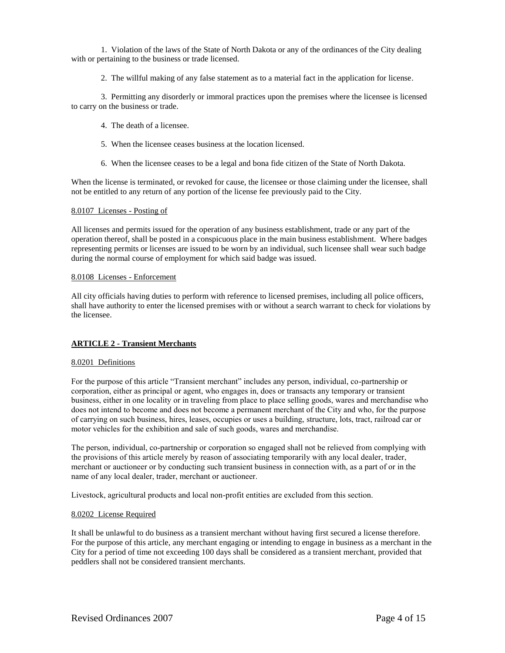1. Violation of the laws of the State of North Dakota or any of the ordinances of the City dealing with or pertaining to the business or trade licensed.

2. The willful making of any false statement as to a material fact in the application for license.

3. Permitting any disorderly or immoral practices upon the premises where the licensee is licensed to carry on the business or trade.

- 4. The death of a licensee.
- 5. When the licensee ceases business at the location licensed.
- 6. When the licensee ceases to be a legal and bona fide citizen of the State of North Dakota.

When the license is terminated, or revoked for cause, the licensee or those claiming under the licensee, shall not be entitled to any return of any portion of the license fee previously paid to the City.

### 8.0107 Licenses - Posting of

All licenses and permits issued for the operation of any business establishment, trade or any part of the operation thereof, shall be posted in a conspicuous place in the main business establishment. Where badges representing permits or licenses are issued to be worn by an individual, such licensee shall wear such badge during the normal course of employment for which said badge was issued.

### 8.0108 Licenses - Enforcement

All city officials having duties to perform with reference to licensed premises, including all police officers, shall have authority to enter the licensed premises with or without a search warrant to check for violations by the licensee.

## **ARTICLE 2 - Transient Merchants**

### 8.0201 Definitions

For the purpose of this article "Transient merchant" includes any person, individual, co-partnership or corporation, either as principal or agent, who engages in, does or transacts any temporary or transient business, either in one locality or in traveling from place to place selling goods, wares and merchandise who does not intend to become and does not become a permanent merchant of the City and who, for the purpose of carrying on such business, hires, leases, occupies or uses a building, structure, lots, tract, railroad car or motor vehicles for the exhibition and sale of such goods, wares and merchandise.

The person, individual, co-partnership or corporation so engaged shall not be relieved from complying with the provisions of this article merely by reason of associating temporarily with any local dealer, trader, merchant or auctioneer or by conducting such transient business in connection with, as a part of or in the name of any local dealer, trader, merchant or auctioneer.

Livestock, agricultural products and local non-profit entities are excluded from this section.

### 8.0202 License Required

It shall be unlawful to do business as a transient merchant without having first secured a license therefore. For the purpose of this article, any merchant engaging or intending to engage in business as a merchant in the City for a period of time not exceeding 100 days shall be considered as a transient merchant, provided that peddlers shall not be considered transient merchants.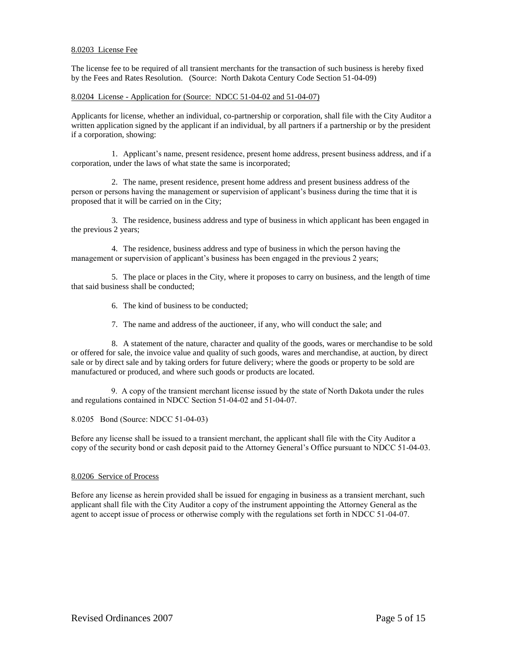## 8.0203 License Fee

The license fee to be required of all transient merchants for the transaction of such business is hereby fixed by the Fees and Rates Resolution. (Source: North Dakota Century Code Section 51-04-09)

# 8.0204 License - Application for (Source: NDCC 51-04-02 and 51-04-07)

Applicants for license, whether an individual, co-partnership or corporation, shall file with the City Auditor a written application signed by the applicant if an individual, by all partners if a partnership or by the president if a corporation, showing:

1. Applicant's name, present residence, present home address, present business address, and if a corporation, under the laws of what state the same is incorporated;

2. The name, present residence, present home address and present business address of the person or persons having the management or supervision of applicant's business during the time that it is proposed that it will be carried on in the City;

3. The residence, business address and type of business in which applicant has been engaged in the previous 2 years;

4. The residence, business address and type of business in which the person having the management or supervision of applicant's business has been engaged in the previous 2 years;

5. The place or places in the City, where it proposes to carry on business, and the length of time that said business shall be conducted;

6. The kind of business to be conducted;

7. The name and address of the auctioneer, if any, who will conduct the sale; and

8. A statement of the nature, character and quality of the goods, wares or merchandise to be sold or offered for sale, the invoice value and quality of such goods, wares and merchandise, at auction, by direct sale or by direct sale and by taking orders for future delivery; where the goods or property to be sold are manufactured or produced, and where such goods or products are located.

 9. A copy of the transient merchant license issued by the state of North Dakota under the rules and regulations contained in NDCC Section 51-04-02 and 51-04-07.

8.0205 Bond (Source: NDCC 51-04-03)

Before any license shall be issued to a transient merchant, the applicant shall file with the City Auditor a copy of the security bond or cash deposit paid to the Attorney General's Office pursuant to NDCC 51-04-03.

### 8.0206 Service of Process

Before any license as herein provided shall be issued for engaging in business as a transient merchant, such applicant shall file with the City Auditor a copy of the instrument appointing the Attorney General as the agent to accept issue of process or otherwise comply with the regulations set forth in NDCC 51-04-07.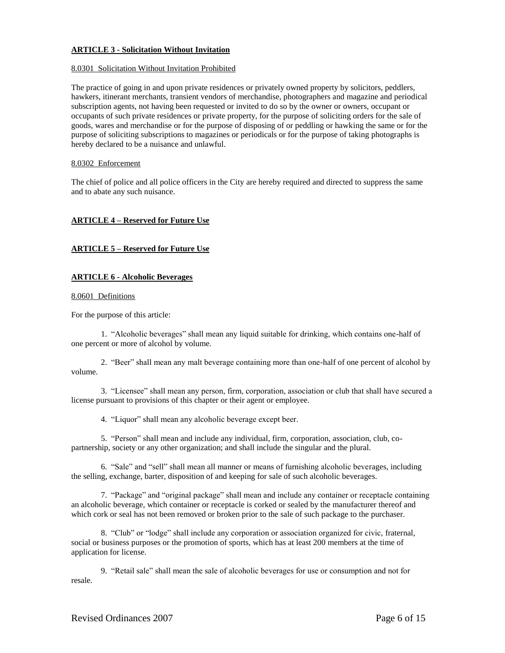## **ARTICLE 3 - Solicitation Without Invitation**

### 8.0301 Solicitation Without Invitation Prohibited

The practice of going in and upon private residences or privately owned property by solicitors, peddlers, hawkers, itinerant merchants, transient vendors of merchandise, photographers and magazine and periodical subscription agents, not having been requested or invited to do so by the owner or owners, occupant or occupants of such private residences or private property, for the purpose of soliciting orders for the sale of goods, wares and merchandise or for the purpose of disposing of or peddling or hawking the same or for the purpose of soliciting subscriptions to magazines or periodicals or for the purpose of taking photographs is hereby declared to be a nuisance and unlawful.

### 8.0302 Enforcement

The chief of police and all police officers in the City are hereby required and directed to suppress the same and to abate any such nuisance.

## **ARTICLE 4 – Reserved for Future Use**

## **ARTICLE 5 – Reserved for Future Use**

### **ARTICLE 6 - Alcoholic Beverages**

#### 8.0601 Definitions

For the purpose of this article:

1. "Alcoholic beverages" shall mean any liquid suitable for drinking, which contains one-half of one percent or more of alcohol by volume.

2. "Beer" shall mean any malt beverage containing more than one-half of one percent of alcohol by volume.

3. "Licensee" shall mean any person, firm, corporation, association or club that shall have secured a license pursuant to provisions of this chapter or their agent or employee.

4. "Liquor" shall mean any alcoholic beverage except beer.

5. "Person" shall mean and include any individual, firm, corporation, association, club, copartnership, society or any other organization; and shall include the singular and the plural.

6. "Sale" and "sell" shall mean all manner or means of furnishing alcoholic beverages, including the selling, exchange, barter, disposition of and keeping for sale of such alcoholic beverages.

7. "Package" and "original package" shall mean and include any container or receptacle containing an alcoholic beverage, which container or receptacle is corked or sealed by the manufacturer thereof and which cork or seal has not been removed or broken prior to the sale of such package to the purchaser.

8. "Club" or "lodge" shall include any corporation or association organized for civic, fraternal, social or business purposes or the promotion of sports, which has at least 200 members at the time of application for license.

9. "Retail sale" shall mean the sale of alcoholic beverages for use or consumption and not for resale.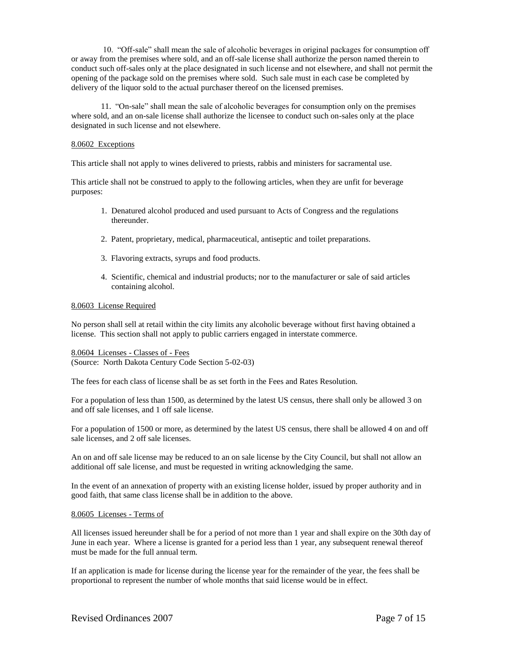10. "Off-sale" shall mean the sale of alcoholic beverages in original packages for consumption off or away from the premises where sold, and an off-sale license shall authorize the person named therein to conduct such off-sales only at the place designated in such license and not elsewhere, and shall not permit the opening of the package sold on the premises where sold. Such sale must in each case be completed by delivery of the liquor sold to the actual purchaser thereof on the licensed premises.

11. "On-sale" shall mean the sale of alcoholic beverages for consumption only on the premises where sold, and an on-sale license shall authorize the licensee to conduct such on-sales only at the place designated in such license and not elsewhere.

### 8.0602 Exceptions

This article shall not apply to wines delivered to priests, rabbis and ministers for sacramental use.

This article shall not be construed to apply to the following articles, when they are unfit for beverage purposes:

- 1. Denatured alcohol produced and used pursuant to Acts of Congress and the regulations thereunder.
- 2. Patent, proprietary, medical, pharmaceutical, antiseptic and toilet preparations.
- 3. Flavoring extracts, syrups and food products.
- 4. Scientific, chemical and industrial products; nor to the manufacturer or sale of said articles containing alcohol.

### 8.0603 License Required

No person shall sell at retail within the city limits any alcoholic beverage without first having obtained a license. This section shall not apply to public carriers engaged in interstate commerce.

## 8.0604 Licenses - Classes of - Fees (Source: North Dakota Century Code Section 5-02-03)

The fees for each class of license shall be as set forth in the Fees and Rates Resolution.

For a population of less than 1500, as determined by the latest US census, there shall only be allowed 3 on and off sale licenses, and 1 off sale license.

For a population of 1500 or more, as determined by the latest US census, there shall be allowed 4 on and off sale licenses, and 2 off sale licenses.

An on and off sale license may be reduced to an on sale license by the City Council, but shall not allow an additional off sale license, and must be requested in writing acknowledging the same.

In the event of an annexation of property with an existing license holder, issued by proper authority and in good faith, that same class license shall be in addition to the above.

### 8.0605 Licenses - Terms of

All licenses issued hereunder shall be for a period of not more than 1 year and shall expire on the 30th day of June in each year. Where a license is granted for a period less than 1 year, any subsequent renewal thereof must be made for the full annual term.

If an application is made for license during the license year for the remainder of the year, the fees shall be proportional to represent the number of whole months that said license would be in effect.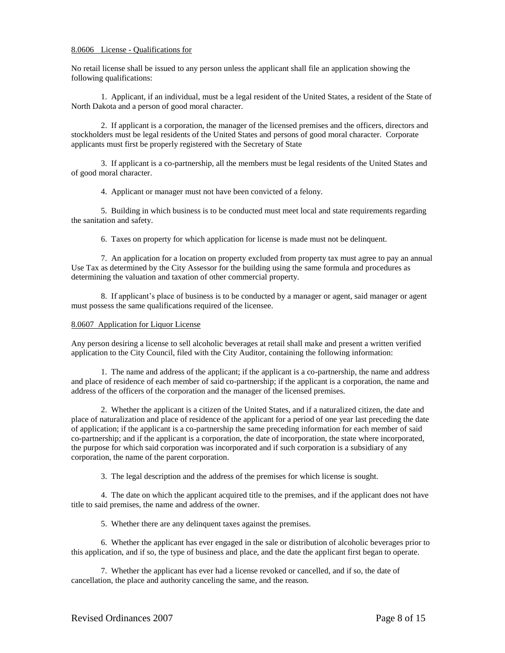## 8.0606 License - Qualifications for

No retail license shall be issued to any person unless the applicant shall file an application showing the following qualifications:

1. Applicant, if an individual, must be a legal resident of the United States, a resident of the State of North Dakota and a person of good moral character.

2. If applicant is a corporation, the manager of the licensed premises and the officers, directors and stockholders must be legal residents of the United States and persons of good moral character. Corporate applicants must first be properly registered with the Secretary of State

3. If applicant is a co-partnership, all the members must be legal residents of the United States and of good moral character.

4. Applicant or manager must not have been convicted of a felony.

5. Building in which business is to be conducted must meet local and state requirements regarding the sanitation and safety.

6. Taxes on property for which application for license is made must not be delinquent.

7. An application for a location on property excluded from property tax must agree to pay an annual Use Tax as determined by the City Assessor for the building using the same formula and procedures as determining the valuation and taxation of other commercial property.

8. If applicant's place of business is to be conducted by a manager or agent, said manager or agent must possess the same qualifications required of the licensee.

## 8.0607 Application for Liquor License

Any person desiring a license to sell alcoholic beverages at retail shall make and present a written verified application to the City Council, filed with the City Auditor, containing the following information:

1. The name and address of the applicant; if the applicant is a co-partnership, the name and address and place of residence of each member of said co-partnership; if the applicant is a corporation, the name and address of the officers of the corporation and the manager of the licensed premises.

2. Whether the applicant is a citizen of the United States, and if a naturalized citizen, the date and place of naturalization and place of residence of the applicant for a period of one year last preceding the date of application; if the applicant is a co-partnership the same preceding information for each member of said co-partnership; and if the applicant is a corporation, the date of incorporation, the state where incorporated, the purpose for which said corporation was incorporated and if such corporation is a subsidiary of any corporation, the name of the parent corporation.

3. The legal description and the address of the premises for which license is sought.

4. The date on which the applicant acquired title to the premises, and if the applicant does not have title to said premises, the name and address of the owner.

5. Whether there are any delinquent taxes against the premises.

6. Whether the applicant has ever engaged in the sale or distribution of alcoholic beverages prior to this application, and if so, the type of business and place, and the date the applicant first began to operate.

7. Whether the applicant has ever had a license revoked or cancelled, and if so, the date of cancellation, the place and authority canceling the same, and the reason.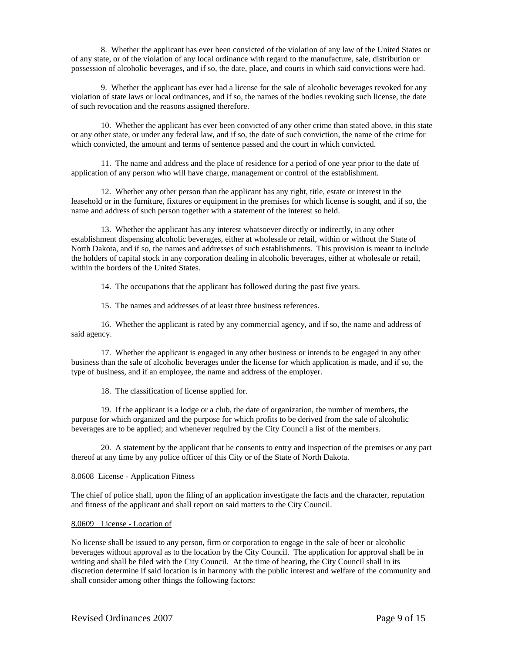8. Whether the applicant has ever been convicted of the violation of any law of the United States or of any state, or of the violation of any local ordinance with regard to the manufacture, sale, distribution or possession of alcoholic beverages, and if so, the date, place, and courts in which said convictions were had.

9. Whether the applicant has ever had a license for the sale of alcoholic beverages revoked for any violation of state laws or local ordinances, and if so, the names of the bodies revoking such license, the date of such revocation and the reasons assigned therefore.

10. Whether the applicant has ever been convicted of any other crime than stated above, in this state or any other state, or under any federal law, and if so, the date of such conviction, the name of the crime for which convicted, the amount and terms of sentence passed and the court in which convicted.

11. The name and address and the place of residence for a period of one year prior to the date of application of any person who will have charge, management or control of the establishment.

12. Whether any other person than the applicant has any right, title, estate or interest in the leasehold or in the furniture, fixtures or equipment in the premises for which license is sought, and if so, the name and address of such person together with a statement of the interest so held.

13. Whether the applicant has any interest whatsoever directly or indirectly, in any other establishment dispensing alcoholic beverages, either at wholesale or retail, within or without the State of North Dakota, and if so, the names and addresses of such establishments. This provision is meant to include the holders of capital stock in any corporation dealing in alcoholic beverages, either at wholesale or retail, within the borders of the United States.

14. The occupations that the applicant has followed during the past five years.

15. The names and addresses of at least three business references.

16. Whether the applicant is rated by any commercial agency, and if so, the name and address of said agency.

17. Whether the applicant is engaged in any other business or intends to be engaged in any other business than the sale of alcoholic beverages under the license for which application is made, and if so, the type of business, and if an employee, the name and address of the employer.

18. The classification of license applied for.

19. If the applicant is a lodge or a club, the date of organization, the number of members, the purpose for which organized and the purpose for which profits to be derived from the sale of alcoholic beverages are to be applied; and whenever required by the City Council a list of the members.

20. A statement by the applicant that he consents to entry and inspection of the premises or any part thereof at any time by any police officer of this City or of the State of North Dakota.

### 8.0608 License - Application Fitness

The chief of police shall, upon the filing of an application investigate the facts and the character, reputation and fitness of the applicant and shall report on said matters to the City Council.

#### 8.0609 License - Location of

No license shall be issued to any person, firm or corporation to engage in the sale of beer or alcoholic beverages without approval as to the location by the City Council. The application for approval shall be in writing and shall be filed with the City Council. At the time of hearing, the City Council shall in its discretion determine if said location is in harmony with the public interest and welfare of the community and shall consider among other things the following factors: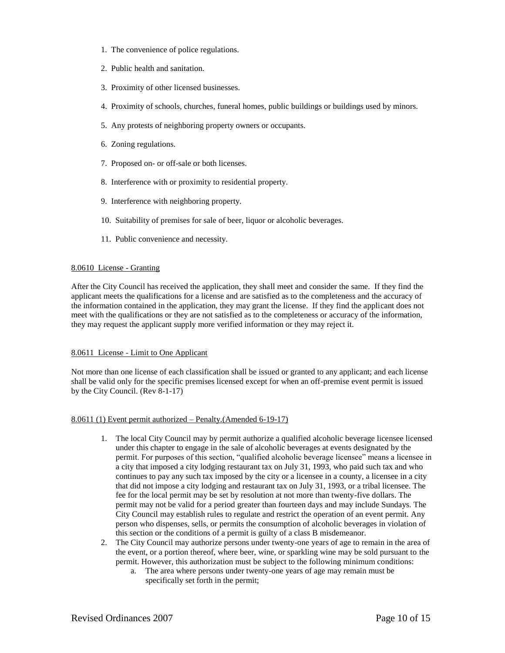- 1. The convenience of police regulations.
- 2. Public health and sanitation.
- 3. Proximity of other licensed businesses.
- 4. Proximity of schools, churches, funeral homes, public buildings or buildings used by minors.
- 5. Any protests of neighboring property owners or occupants.
- 6. Zoning regulations.
- 7. Proposed on- or off-sale or both licenses.
- 8. Interference with or proximity to residential property.
- 9. Interference with neighboring property.
- 10. Suitability of premises for sale of beer, liquor or alcoholic beverages.
- 11. Public convenience and necessity.

## 8.0610 License - Granting

After the City Council has received the application, they shall meet and consider the same. If they find the applicant meets the qualifications for a license and are satisfied as to the completeness and the accuracy of the information contained in the application, they may grant the license. If they find the applicant does not meet with the qualifications or they are not satisfied as to the completeness or accuracy of the information, they may request the applicant supply more verified information or they may reject it.

## 8.0611 License - Limit to One Applicant

Not more than one license of each classification shall be issued or granted to any applicant; and each license shall be valid only for the specific premises licensed except for when an off-premise event permit is issued by the City Council. (Rev 8-1-17)

## 8.0611 (1) Event permit authorized – Penalty.(Amended 6-19-17)

- 1. The local City Council may by permit authorize a qualified alcoholic beverage licensee licensed under this chapter to engage in the sale of alcoholic beverages at events designated by the permit. For purposes of this section, "qualified alcoholic beverage licensee" means a licensee in a city that imposed a city lodging restaurant tax on July 31, 1993, who paid such tax and who continues to pay any such tax imposed by the city or a licensee in a county, a licensee in a city that did not impose a city lodging and restaurant tax on July 31, 1993, or a tribal licensee. The fee for the local permit may be set by resolution at not more than twenty-five dollars. The permit may not be valid for a period greater than fourteen days and may include Sundays. The City Council may establish rules to regulate and restrict the operation of an event permit. Any person who dispenses, sells, or permits the consumption of alcoholic beverages in violation of this section or the conditions of a permit is guilty of a class B misdemeanor.
- 2. The City Council may authorize persons under twenty-one years of age to remain in the area of the event, or a portion thereof, where beer, wine, or sparkling wine may be sold pursuant to the permit. However, this authorization must be subject to the following minimum conditions:
	- a. The area where persons under twenty-one years of age may remain must be specifically set forth in the permit;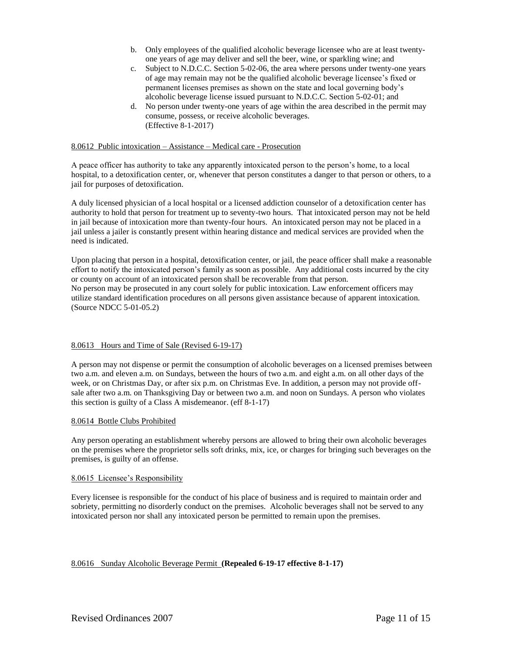- b. Only employees of the qualified alcoholic beverage licensee who are at least twentyone years of age may deliver and sell the beer, wine, or sparkling wine; and
- c. Subject to N.D.C.C. Section 5-02-06, the area where persons under twenty-one years of age may remain may not be the qualified alcoholic beverage licensee's fixed or permanent licenses premises as shown on the state and local governing body's alcoholic beverage license issued pursuant to N.D.C.C. Section 5-02-01; and
- d. No person under twenty-one years of age within the area described in the permit may consume, possess, or receive alcoholic beverages. (Effective 8-1-2017)

# 8.0612 Public intoxication – Assistance – Medical care - Prosecution

A peace officer has authority to take any apparently intoxicated person to the person's home, to a local hospital, to a detoxification center, or, whenever that person constitutes a danger to that person or others, to a jail for purposes of detoxification.

A duly licensed physician of a local hospital or a licensed addiction counselor of a detoxification center has authority to hold that person for treatment up to seventy-two hours. That intoxicated person may not be held in jail because of intoxication more than twenty-four hours. An intoxicated person may not be placed in a jail unless a jailer is constantly present within hearing distance and medical services are provided when the need is indicated.

Upon placing that person in a hospital, detoxification center, or jail, the peace officer shall make a reasonable effort to notify the intoxicated person's family as soon as possible. Any additional costs incurred by the city or county on account of an intoxicated person shall be recoverable from that person. No person may be prosecuted in any court solely for public intoxication. Law enforcement officers may utilize standard identification procedures on all persons given assistance because of apparent intoxication. (Source NDCC 5-01-05.2)

## 8.0613 Hours and Time of Sale (Revised 6-19-17)

A person may not dispense or permit the consumption of alcoholic beverages on a licensed premises between two a.m. and eleven a.m. on Sundays, between the hours of two a.m. and eight a.m. on all other days of the week, or on Christmas Day, or after six p.m. on Christmas Eve. In addition, a person may not provide offsale after two a.m. on Thanksgiving Day or between two a.m. and noon on Sundays. A person who violates this section is guilty of a Class A misdemeanor. (eff 8-1-17)

### 8.0614 Bottle Clubs Prohibited

Any person operating an establishment whereby persons are allowed to bring their own alcoholic beverages on the premises where the proprietor sells soft drinks, mix, ice, or charges for bringing such beverages on the premises, is guilty of an offense.

### 8.0615 Licensee's Responsibility

Every licensee is responsible for the conduct of his place of business and is required to maintain order and sobriety, permitting no disorderly conduct on the premises. Alcoholic beverages shall not be served to any intoxicated person nor shall any intoxicated person be permitted to remain upon the premises.

## 8.0616 Sunday Alcoholic Beverage Permit **(Repealed 6-19-17 effective 8-1-17)**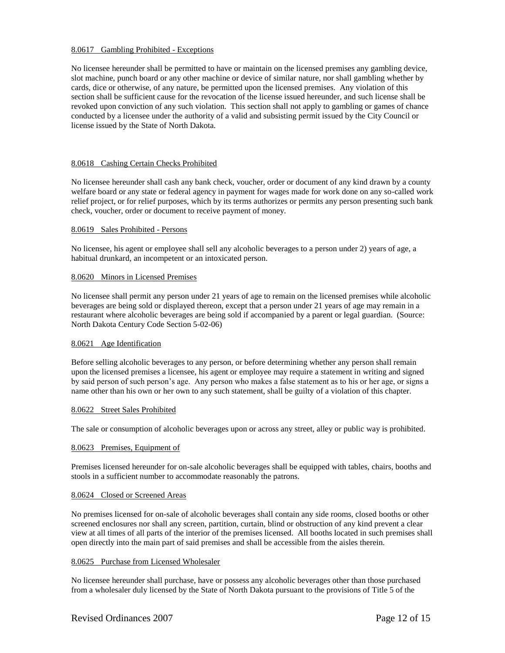### 8.0617 Gambling Prohibited - Exceptions

No licensee hereunder shall be permitted to have or maintain on the licensed premises any gambling device, slot machine, punch board or any other machine or device of similar nature, nor shall gambling whether by cards, dice or otherwise, of any nature, be permitted upon the licensed premises. Any violation of this section shall be sufficient cause for the revocation of the license issued hereunder, and such license shall be revoked upon conviction of any such violation. This section shall not apply to gambling or games of chance conducted by a licensee under the authority of a valid and subsisting permit issued by the City Council or license issued by the State of North Dakota.

### 8.0618 Cashing Certain Checks Prohibited

No licensee hereunder shall cash any bank check, voucher, order or document of any kind drawn by a county welfare board or any state or federal agency in payment for wages made for work done on any so-called work relief project, or for relief purposes, which by its terms authorizes or permits any person presenting such bank check, voucher, order or document to receive payment of money.

### 8.0619 Sales Prohibited - Persons

No licensee, his agent or employee shall sell any alcoholic beverages to a person under 2) years of age, a habitual drunkard, an incompetent or an intoxicated person.

## 8.0620 Minors in Licensed Premises

No licensee shall permit any person under 21 years of age to remain on the licensed premises while alcoholic beverages are being sold or displayed thereon, except that a person under 21 years of age may remain in a restaurant where alcoholic beverages are being sold if accompanied by a parent or legal guardian. (Source: North Dakota Century Code Section 5-02-06)

### 8.0621 Age Identification

Before selling alcoholic beverages to any person, or before determining whether any person shall remain upon the licensed premises a licensee, his agent or employee may require a statement in writing and signed by said person of such person's age. Any person who makes a false statement as to his or her age, or signs a name other than his own or her own to any such statement, shall be guilty of a violation of this chapter.

### 8.0622 Street Sales Prohibited

The sale or consumption of alcoholic beverages upon or across any street, alley or public way is prohibited.

## 8.0623 Premises, Equipment of

Premises licensed hereunder for on-sale alcoholic beverages shall be equipped with tables, chairs, booths and stools in a sufficient number to accommodate reasonably the patrons.

### 8.0624 Closed or Screened Areas

No premises licensed for on-sale of alcoholic beverages shall contain any side rooms, closed booths or other screened enclosures nor shall any screen, partition, curtain, blind or obstruction of any kind prevent a clear view at all times of all parts of the interior of the premises licensed. All booths located in such premises shall open directly into the main part of said premises and shall be accessible from the aisles therein.

### 8.0625 Purchase from Licensed Wholesaler

No licensee hereunder shall purchase, have or possess any alcoholic beverages other than those purchased from a wholesaler duly licensed by the State of North Dakota pursuant to the provisions of Title 5 of the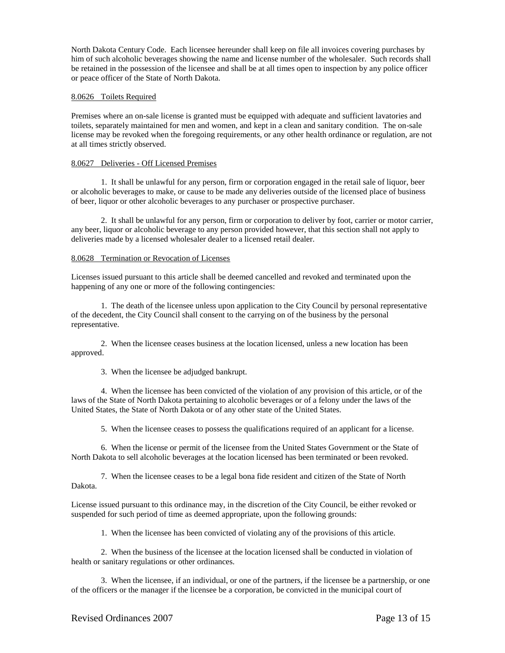North Dakota Century Code. Each licensee hereunder shall keep on file all invoices covering purchases by him of such alcoholic beverages showing the name and license number of the wholesaler. Such records shall be retained in the possession of the licensee and shall be at all times open to inspection by any police officer or peace officer of the State of North Dakota.

## 8.0626 Toilets Required

Premises where an on-sale license is granted must be equipped with adequate and sufficient lavatories and toilets, separately maintained for men and women, and kept in a clean and sanitary condition. The on-sale license may be revoked when the foregoing requirements, or any other health ordinance or regulation, are not at all times strictly observed.

### 8.0627 Deliveries - Off Licensed Premises

1. It shall be unlawful for any person, firm or corporation engaged in the retail sale of liquor, beer or alcoholic beverages to make, or cause to be made any deliveries outside of the licensed place of business of beer, liquor or other alcoholic beverages to any purchaser or prospective purchaser.

2. It shall be unlawful for any person, firm or corporation to deliver by foot, carrier or motor carrier, any beer, liquor or alcoholic beverage to any person provided however, that this section shall not apply to deliveries made by a licensed wholesaler dealer to a licensed retail dealer.

## 8.0628 Termination or Revocation of Licenses

Licenses issued pursuant to this article shall be deemed cancelled and revoked and terminated upon the happening of any one or more of the following contingencies:

1. The death of the licensee unless upon application to the City Council by personal representative of the decedent, the City Council shall consent to the carrying on of the business by the personal representative.

2. When the licensee ceases business at the location licensed, unless a new location has been approved.

3. When the licensee be adjudged bankrupt.

4. When the licensee has been convicted of the violation of any provision of this article, or of the laws of the State of North Dakota pertaining to alcoholic beverages or of a felony under the laws of the United States, the State of North Dakota or of any other state of the United States.

5. When the licensee ceases to possess the qualifications required of an applicant for a license.

6. When the license or permit of the licensee from the United States Government or the State of North Dakota to sell alcoholic beverages at the location licensed has been terminated or been revoked.

7. When the licensee ceases to be a legal bona fide resident and citizen of the State of North Dakota.

License issued pursuant to this ordinance may, in the discretion of the City Council, be either revoked or suspended for such period of time as deemed appropriate, upon the following grounds:

1. When the licensee has been convicted of violating any of the provisions of this article.

2. When the business of the licensee at the location licensed shall be conducted in violation of health or sanitary regulations or other ordinances.

3. When the licensee, if an individual, or one of the partners, if the licensee be a partnership, or one of the officers or the manager if the licensee be a corporation, be convicted in the municipal court of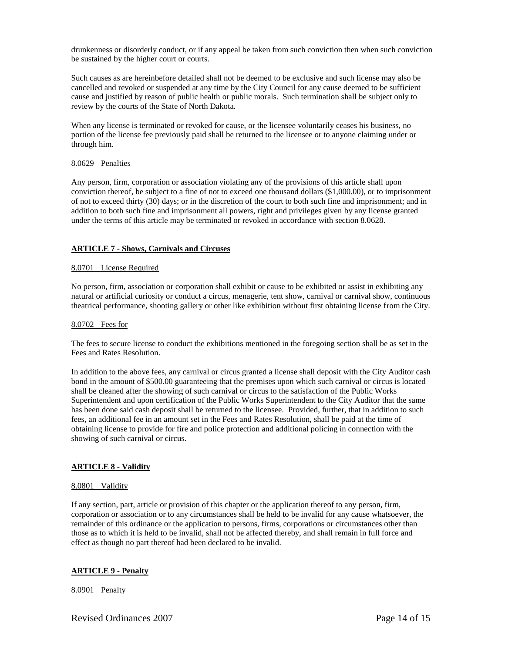drunkenness or disorderly conduct, or if any appeal be taken from such conviction then when such conviction be sustained by the higher court or courts.

Such causes as are hereinbefore detailed shall not be deemed to be exclusive and such license may also be cancelled and revoked or suspended at any time by the City Council for any cause deemed to be sufficient cause and justified by reason of public health or public morals. Such termination shall be subject only to review by the courts of the State of North Dakota.

When any license is terminated or revoked for cause, or the licensee voluntarily ceases his business, no portion of the license fee previously paid shall be returned to the licensee or to anyone claiming under or through him.

### 8.0629 Penalties

Any person, firm, corporation or association violating any of the provisions of this article shall upon conviction thereof, be subject to a fine of not to exceed one thousand dollars (\$1,000.00), or to imprisonment of not to exceed thirty (30) days; or in the discretion of the court to both such fine and imprisonment; and in addition to both such fine and imprisonment all powers, right and privileges given by any license granted under the terms of this article may be terminated or revoked in accordance with section 8.0628.

## **ARTICLE 7 - Shows, Carnivals and Circuses**

### 8.0701 License Required

No person, firm, association or corporation shall exhibit or cause to be exhibited or assist in exhibiting any natural or artificial curiosity or conduct a circus, menagerie, tent show, carnival or carnival show, continuous theatrical performance, shooting gallery or other like exhibition without first obtaining license from the City.

### 8.0702 Fees for

The fees to secure license to conduct the exhibitions mentioned in the foregoing section shall be as set in the Fees and Rates Resolution.

In addition to the above fees, any carnival or circus granted a license shall deposit with the City Auditor cash bond in the amount of \$500.00 guaranteeing that the premises upon which such carnival or circus is located shall be cleaned after the showing of such carnival or circus to the satisfaction of the Public Works Superintendent and upon certification of the Public Works Superintendent to the City Auditor that the same has been done said cash deposit shall be returned to the licensee. Provided, further, that in addition to such fees, an additional fee in an amount set in the Fees and Rates Resolution, shall be paid at the time of obtaining license to provide for fire and police protection and additional policing in connection with the showing of such carnival or circus.

## **ARTICLE 8 - Validity**

## 8.0801 Validity

If any section, part, article or provision of this chapter or the application thereof to any person, firm, corporation or association or to any circumstances shall be held to be invalid for any cause whatsoever, the remainder of this ordinance or the application to persons, firms, corporations or circumstances other than those as to which it is held to be invalid, shall not be affected thereby, and shall remain in full force and effect as though no part thereof had been declared to be invalid.

## **ARTICLE 9 - Penalty**

### 8.0901 Penalty